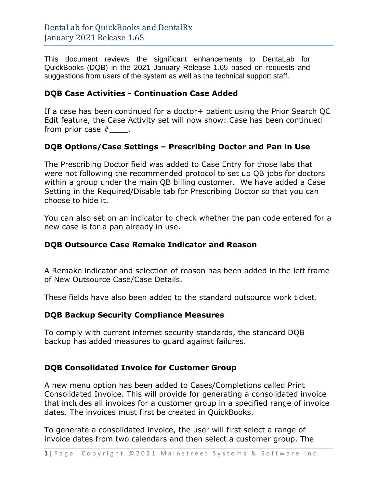This document reviews the significant enhancements to DentaLab for QuickBooks (DQB) in the 2021 January Release 1.65 based on requests and suggestions from users of the system as well as the technical support staff.

## **DQB Case Activities - Continuation Case Added**

If a case has been continued for a doctor+ patient using the Prior Search QC Edit feature, the Case Activity set will now show: Case has been continued from prior case  $#$  .

# **DQB Options/Case Settings – Prescribing Doctor and Pan in Use**

The Prescribing Doctor field was added to Case Entry for those labs that were not following the recommended protocol to set up QB jobs for doctors within a group under the main QB billing customer. We have added a Case Setting in the Required/Disable tab for Prescribing Doctor so that you can choose to hide it.

You can also set on an indicator to check whether the pan code entered for a new case is for a pan already in use.

### **DQB Outsource Case Remake Indicator and Reason**

A Remake indicator and selection of reason has been added in the left frame of New Outsource Case/Case Details.

These fields have also been added to the standard outsource work ticket.

### **DQB Backup Security Compliance Measures**

To comply with current internet security standards, the standard DQB backup has added measures to guard against failures.

# **DQB Consolidated Invoice for Customer Group**

A new menu option has been added to Cases/Completions called Print Consolidated Invoice. This will provide for generating a consolidated invoice that includes all invoices for a customer group in a specified range of invoice dates. The invoices must first be created in QuickBooks.

To generate a consolidated invoice, the user will first select a range of invoice dates from two calendars and then select a customer group. The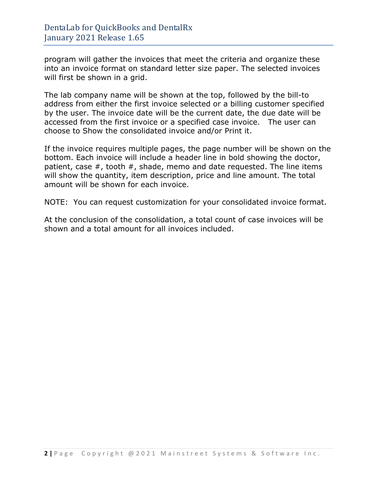program will gather the invoices that meet the criteria and organize these into an invoice format on standard letter size paper. The selected invoices will first be shown in a grid.

The lab company name will be shown at the top, followed by the bill-to address from either the first invoice selected or a billing customer specified by the user. The invoice date will be the current date, the due date will be accessed from the first invoice or a specified case invoice. The user can choose to Show the consolidated invoice and/or Print it.

If the invoice requires multiple pages, the page number will be shown on the bottom. Each invoice will include a header line in bold showing the doctor, patient, case  $#$ , tooth  $#$ , shade, memo and date requested. The line items will show the quantity, item description, price and line amount. The total amount will be shown for each invoice.

NOTE: You can request customization for your consolidated invoice format.

At the conclusion of the consolidation, a total count of case invoices will be shown and a total amount for all invoices included.